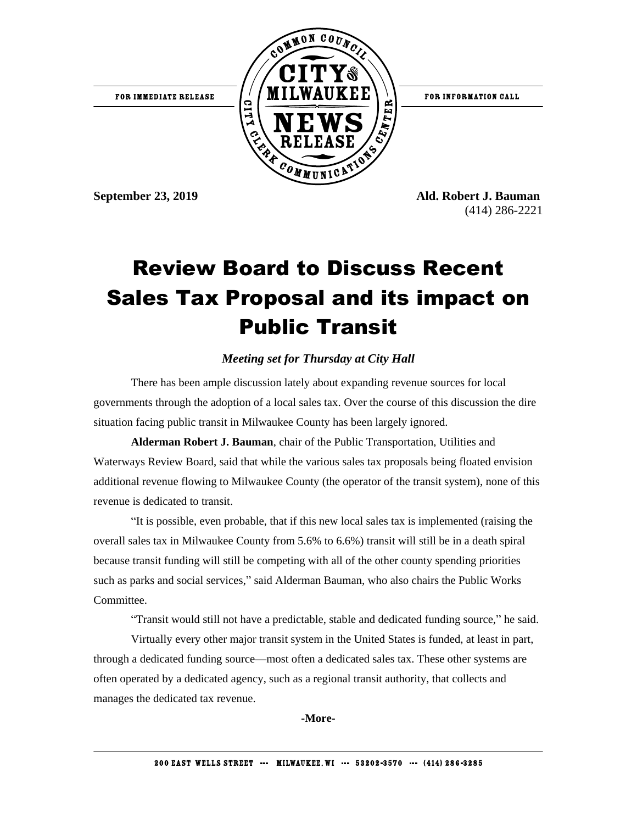

**September 23, 2019 Ald. Robert J. Bauman** (414) 286-2221

## Review Board to Discuss Recent Sales Tax Proposal and its impact on Public Transit

## *Meeting set for Thursday at City Hall*

There has been ample discussion lately about expanding revenue sources for local governments through the adoption of a local sales tax. Over the course of this discussion the dire situation facing public transit in Milwaukee County has been largely ignored.

**Alderman Robert J. Bauman**, chair of the Public Transportation, Utilities and Waterways Review Board, said that while the various sales tax proposals being floated envision additional revenue flowing to Milwaukee County (the operator of the transit system), none of this revenue is dedicated to transit.

"It is possible, even probable, that if this new local sales tax is implemented (raising the overall sales tax in Milwaukee County from 5.6% to 6.6%) transit will still be in a death spiral because transit funding will still be competing with all of the other county spending priorities such as parks and social services," said Alderman Bauman, who also chairs the Public Works Committee.

"Transit would still not have a predictable, stable and dedicated funding source," he said.

Virtually every other major transit system in the United States is funded, at least in part, through a dedicated funding source—most often a dedicated sales tax. These other systems are often operated by a dedicated agency, such as a regional transit authority, that collects and manages the dedicated tax revenue.

**-More-**